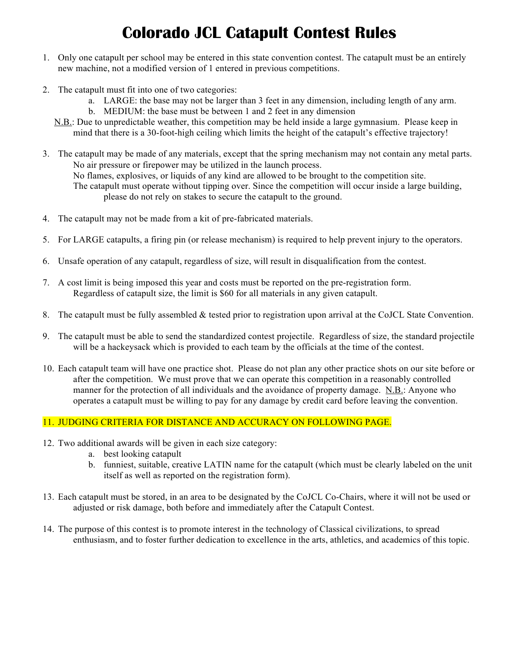# **Colorado JCL Catapult Contest Rules**

- 1. Only one catapult per school may be entered in this state convention contest. The catapult must be an entirely new machine, not a modified version of 1 entered in previous competitions.
- 2. The catapult must fit into one of two categories:
	- a. LARGE: the base may not be larger than 3 feet in any dimension, including length of any arm.
	- b. MEDIUM: the base must be between 1 and 2 feet in any dimension
	- N.B.: Due to unpredictable weather, this competition may be held inside a large gymnasium. Please keep in mind that there is a 30-foot-high ceiling which limits the height of the catapult's effective trajectory!
- 3. The catapult may be made of any materials, except that the spring mechanism may not contain any metal parts. No air pressure or firepower may be utilized in the launch process. No flames, explosives, or liquids of any kind are allowed to be brought to the competition site. The catapult must operate without tipping over. Since the competition will occur inside a large building, please do not rely on stakes to secure the catapult to the ground.
- 4. The catapult may not be made from a kit of pre-fabricated materials.
- 5. For LARGE catapults, a firing pin (or release mechanism) is required to help prevent injury to the operators.
- 6. Unsafe operation of any catapult, regardless of size, will result in disqualification from the contest.
- 7. A cost limit is being imposed this year and costs must be reported on the pre-registration form. Regardless of catapult size, the limit is \$60 for all materials in any given catapult.
- 8. The catapult must be fully assembled & tested prior to registration upon arrival at the CoJCL State Convention.
- 9. The catapult must be able to send the standardized contest projectile. Regardless of size, the standard projectile will be a hackeysack which is provided to each team by the officials at the time of the contest.
- 10. Each catapult team will have one practice shot. Please do not plan any other practice shots on our site before or after the competition. We must prove that we can operate this competition in a reasonably controlled manner for the protection of all individuals and the avoidance of property damage. N.B.: Anyone who operates a catapult must be willing to pay for any damage by credit card before leaving the convention.

#### 11. JUDGING CRITERIA FOR DISTANCE AND ACCURACY ON FOLLOWING PAGE.

- 12. Two additional awards will be given in each size category:
	- a. best looking catapult
	- b. funniest, suitable, creative LATIN name for the catapult (which must be clearly labeled on the unit itself as well as reported on the registration form).
- 13. Each catapult must be stored, in an area to be designated by the CoJCL Co-Chairs, where it will not be used or adjusted or risk damage, both before and immediately after the Catapult Contest.
- 14. The purpose of this contest is to promote interest in the technology of Classical civilizations, to spread enthusiasm, and to foster further dedication to excellence in the arts, athletics, and academics of this topic.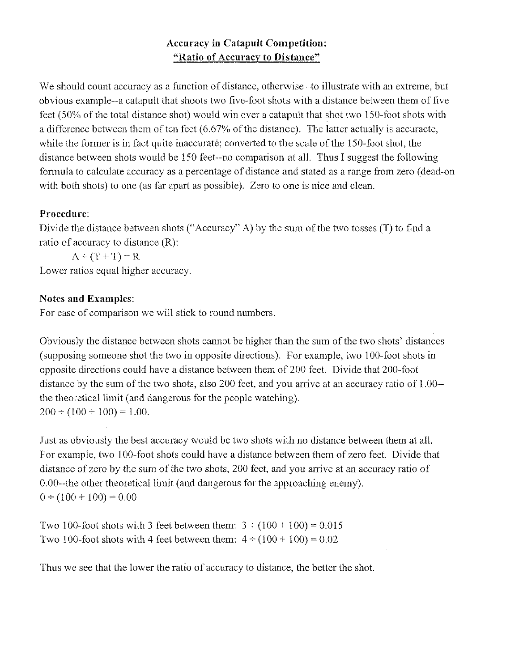### **Accuracy in Catapult Competition:** "Ratio of Accuracy to Distance"

We should count accuracy as a function of distance, otherwise-to illustrate with an extreme, but obvious example--a catapult that shoots two five-foot shots with a distance between them of five feet (50% of the total distance shot) would win over a catapult that shot two 150-foot shots with a difference between them of ten feet  $(6.67\%$  of the distance). The latter actually is accuracte, while the former is in fact quite inaccurate; converted to the scale of the 150-foot shot, the distance between shots would be 150 feet-no comparison at all. Thus I suggest the following formula to calculate accuracy as a percentage of distance and stated as a range from zero (dead-on with both shots) to one (as far apart as possible). Zero to one is nice and clean.

#### Procedure:

Divide the distance between shots ("Accuracy" A) by the sum of the two tosses (T) to find a ratio of accuracy to distance  $(R)$ :

 $A \div (T + T) = R$ 

Lower ratios equal higher accuracy.

#### **Notes and Examples:**

For ease of comparison we will stick to round numbers.

Obviously the distance between shots cannot be higher than the sum of the two shots' distances (supposing someone shot the two in opposite directions). For example, two 100-foot shots in opposite directions could have a distance between them of 200 feet. Divide that 200-foot distance by the sum of the two shots, also 200 feet, and you arrive at an accuracy ratio of 1.00-the theoretical limit (and dangerous for the people watching).  $200 \div (100 + 100) = 1.00$ .

Just as obviously the best accuracy would be two shots with no distance between them at all. For example, two 100-foot shots could have a distance between them of zero feet. Divide that distance of zero by the sum of the two shots, 200 feet, and you arrive at an accuracy ratio of  $0.00$ --the other theoretical limit (and dangerous for the approaching enemy).  $0 \div (100 + 100) = 0.00$ 

Two 100-foot shots with 3 feet between them:  $3 \div (100 + 100) = 0.015$ Two 100-foot shots with 4 feet between them:  $4 \div (100 + 100) = 0.02$ 

Thus we see that the lower the ratio of accuracy to distance, the better the shot.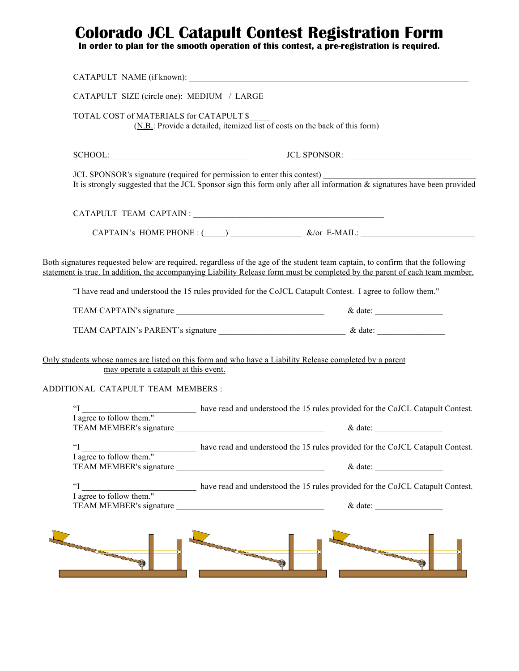### **Colorado JCL Catapult Contest Registration Form**

**In order to plan for the smooth operation of this contest, a pre-registration is required.** 

|                                                        |                                            | CATAPULT NAME (if known):                                                                                                                                                                                                                                                                                                                                                    |
|--------------------------------------------------------|--------------------------------------------|------------------------------------------------------------------------------------------------------------------------------------------------------------------------------------------------------------------------------------------------------------------------------------------------------------------------------------------------------------------------------|
|                                                        | CATAPULT SIZE (circle one): MEDIUM / LARGE |                                                                                                                                                                                                                                                                                                                                                                              |
|                                                        | TOTAL COST of MATERIALS for CATAPULT \$    | (N.B.: Provide a detailed, itemized list of costs on the back of this form)                                                                                                                                                                                                                                                                                                  |
|                                                        |                                            |                                                                                                                                                                                                                                                                                                                                                                              |
|                                                        |                                            | JCL SPONSOR's signature (required for permission to enter this contest)<br>It is strongly suggested that the JCL Sponsor sign this form only after all information & signatures have been provided                                                                                                                                                                           |
|                                                        |                                            |                                                                                                                                                                                                                                                                                                                                                                              |
|                                                        |                                            | CAPTAIN's HOME PHONE : $\qquad \qquad$ $\qquad \qquad$ $\qquad \qquad$ &/or E-MAIL:                                                                                                                                                                                                                                                                                          |
|                                                        |                                            | Both signatures requested below are required, regardless of the age of the student team captain, to confirm that the following<br>statement is true. In addition, the accompanying Liability Release form must be completed by the parent of each team member.<br>"I have read and understood the 15 rules provided for the CoJCL Catapult Contest. I agree to follow them." |
|                                                        |                                            |                                                                                                                                                                                                                                                                                                                                                                              |
|                                                        |                                            |                                                                                                                                                                                                                                                                                                                                                                              |
| ADDITIONAL CATAPULT TEAM MEMBERS :                     | may operate a catapult at this event.      | Only students whose names are listed on this form and who have a Liability Release completed by a parent                                                                                                                                                                                                                                                                     |
|                                                        |                                            | "I have read and understood the 15 rules provided for the CoJCL Catapult Contest.<br>I agree to follow them."                                                                                                                                                                                                                                                                |
|                                                        |                                            |                                                                                                                                                                                                                                                                                                                                                                              |
| $\mathbf{I}^{\circ}$<br>I agree to follow them."       |                                            | have read and understood the 15 rules provided for the CoJCL Catapult Contest.<br>$&$ date:                                                                                                                                                                                                                                                                                  |
| $\mathfrak{c}$<br>$\frac{1}{1}$ agree to follow them." |                                            | have read and understood the 15 rules provided for the CoJCL Catapult Contest.                                                                                                                                                                                                                                                                                               |
|                                                        |                                            | $&$ date:                                                                                                                                                                                                                                                                                                                                                                    |
|                                                        |                                            |                                                                                                                                                                                                                                                                                                                                                                              |